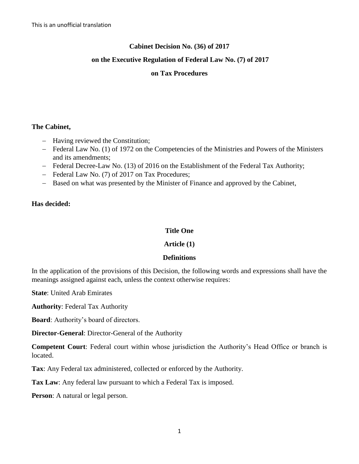# **Cabinet Decision No. (36) of 2017**

## **on the Executive Regulation of Federal Law No. (7) of 2017**

#### **on Tax Procedures**

#### **The Cabinet,**

- Having reviewed the Constitution;
- Federal Law No. (1) of 1972 on the Competencies of the Ministries and Powers of the Ministers and its amendments;
- Federal Decree-Law No. (13) of 2016 on the Establishment of the Federal Tax Authority;
- Federal Law No. (7) of 2017 on Tax Procedures;
- Based on what was presented by the Minister of Finance and approved by the Cabinet,

#### **Has decided:**

#### **Title One**

## **Article (1)**

#### **Definitions**

In the application of the provisions of this Decision, the following words and expressions shall have the meanings assigned against each, unless the context otherwise requires:

**State**: United Arab Emirates

**Authority**: Federal Tax Authority

**Board**: Authority's board of directors.

**Director-General**: Director-General of the Authority

**Competent Court**: Federal court within whose jurisdiction the Authority's Head Office or branch is located.

**Tax**: Any Federal tax administered, collected or enforced by the Authority.

**Tax Law**: Any federal law pursuant to which a Federal Tax is imposed.

**Person**: A natural or legal person.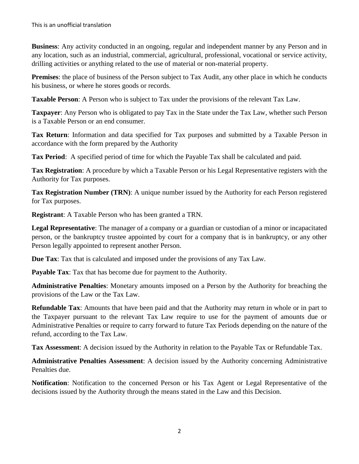**Business**: Any activity conducted in an ongoing, regular and independent manner by any Person and in any location, such as an industrial, commercial, agricultural, professional, vocational or service activity, drilling activities or anything related to the use of material or non-material property.

**Premises**: the place of business of the Person subject to Tax Audit, any other place in which he conducts his business, or where he stores goods or records.

**Taxable Person**: A Person who is subject to Tax under the provisions of the relevant Tax Law.

**Taxpayer**: Any Person who is obligated to pay Tax in the State under the Tax Law, whether such Person is a Taxable Person or an end consumer.

**Tax Return**: Information and data specified for Tax purposes and submitted by a Taxable Person in accordance with the form prepared by the Authority

**Tax Period**: A specified period of time for which the Payable Tax shall be calculated and paid.

**Tax Registration**: A procedure by which a Taxable Person or his Legal Representative registers with the Authority for Tax purposes.

**Tax Registration Number (TRN)**: A unique number issued by the Authority for each Person registered for Tax purposes.

**Registrant**: A Taxable Person who has been granted a TRN.

**Legal Representative**: The manager of a company or a guardian or custodian of a minor or incapacitated person, or the bankruptcy trustee appointed by court for a company that is in bankruptcy, or any other Person legally appointed to represent another Person.

**Due Tax**: Tax that is calculated and imposed under the provisions of any Tax Law.

**Payable Tax**: Tax that has become due for payment to the Authority.

**Administrative Penalties**: Monetary amounts imposed on a Person by the Authority for breaching the provisions of the Law or the Tax Law.

**Refundable Tax**: Amounts that have been paid and that the Authority may return in whole or in part to the Taxpayer pursuant to the relevant Tax Law require to use for the payment of amounts due or Administrative Penalties or require to carry forward to future Tax Periods depending on the nature of the refund, according to the Tax Law.

**Tax Assessment**: A decision issued by the Authority in relation to the Payable Tax or Refundable Tax.

**Administrative Penalties Assessment**: A decision issued by the Authority concerning Administrative Penalties due.

**Notification**: Notification to the concerned Person or his Tax Agent or Legal Representative of the decisions issued by the Authority through the means stated in the Law and this Decision.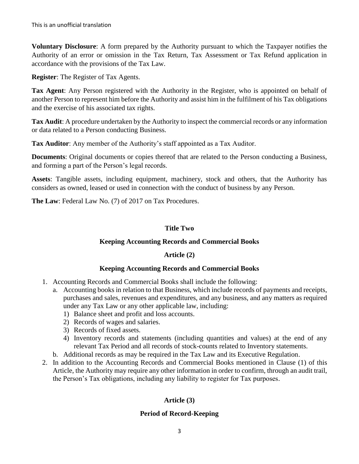**Voluntary Disclosure**: A form prepared by the Authority pursuant to which the Taxpayer notifies the Authority of an error or omission in the Tax Return, Tax Assessment or Tax Refund application in accordance with the provisions of the Tax Law.

**Register**: The Register of Tax Agents.

**Tax Agent**: Any Person registered with the Authority in the Register, who is appointed on behalf of another Person to represent him before the Authority and assist him in the fulfilment of his Tax obligations and the exercise of his associated tax rights.

**Tax Audit**: A procedure undertaken by the Authority to inspect the commercial records or any information or data related to a Person conducting Business.

**Tax Auditor**: Any member of the Authority's staff appointed as a Tax Auditor.

**Documents**: Original documents or copies thereof that are related to the Person conducting a Business, and forming a part of the Person's legal records.

**Assets**: Tangible assets, including equipment, machinery, stock and others, that the Authority has considers as owned, leased or used in connection with the conduct of business by any Person.

**The Law**: Federal Law No. (7) of 2017 on Tax Procedures.

#### **Title Two**

## **Keeping Accounting Records and Commercial Books**

## **Article (2)**

#### **Keeping Accounting Records and Commercial Books**

- 1. Accounting Records and Commercial Books shall include the following:
	- a. Accounting books in relation to that Business, which include records of payments and receipts, purchases and sales, revenues and expenditures, and any business, and any matters as required under any Tax Law or any other applicable law, including:
		- 1) Balance sheet and profit and loss accounts.
		- 2) Records of wages and salaries.
		- 3) Records of fixed assets.
		- 4) Inventory records and statements (including quantities and values) at the end of any relevant Tax Period and all records of stock-counts related to Inventory statements.
	- b. Additional records as may be required in the Tax Law and its Executive Regulation.
- 2. In addition to the Accounting Records and Commercial Books mentioned in Clause (1) of this Article, the Authority may require any other information in order to confirm, through an audit trail, the Person's Tax obligations, including any liability to register for Tax purposes.

## **Article (3)**

## **Period of Record-Keeping**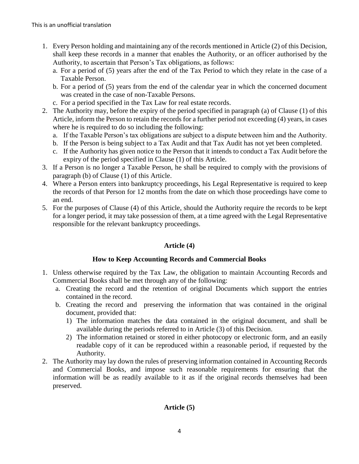- 1. Every Person holding and maintaining any of the records mentioned in Article (2) of this Decision, shall keep these records in a manner that enables the Authority, or an officer authorised by the Authority, to ascertain that Person's Tax obligations, as follows:
	- a. For a period of (5) years after the end of the Tax Period to which they relate in the case of a Taxable Person.
	- b. For a period of (5) years from the end of the calendar year in which the concerned document was created in the case of non-Taxable Persons.
	- c. For a period specified in the Tax Law for real estate records.
- 2. The Authority may, before the expiry of the period specified in paragraph (a) of Clause (1) of this Article, inform the Person to retain the records for a further period not exceeding (4) years, in cases where he is required to do so including the following:
	- a. If the Taxable Person's tax obligations are subject to a dispute between him and the Authority.
	- b. If the Person is being subject to a Tax Audit and that Tax Audit has not yet been completed.
	- c. If the Authority has given notice to the Person that it intends to conduct a Tax Audit before the expiry of the period specified in Clause (1) of this Article.
- 3. If a Person is no longer a Taxable Person, he shall be required to comply with the provisions of paragraph (b) of Clause (1) of this Article.
- 4. Where a Person enters into bankruptcy proceedings, his Legal Representative is required to keep the records of that Person for 12 months from the date on which those proceedings have come to an end.
- 5. For the purposes of Clause (4) of this Article, should the Authority require the records to be kept for a longer period, it may take possession of them, at a time agreed with the Legal Representative responsible for the relevant bankruptcy proceedings.

# **Article (4)**

## **How to Keep Accounting Records and Commercial Books**

- 1. Unless otherwise required by the Tax Law, the obligation to maintain Accounting Records and Commercial Books shall be met through any of the following:
	- a. Creating the record and the retention of original Documents which support the entries contained in the record.
	- b. Creating the record and preserving the information that was contained in the original document, provided that:
		- 1) The information matches the data contained in the original document, and shall be available during the periods referred to in Article (3) of this Decision.
		- 2) The information retained or stored in either photocopy or electronic form, and an easily readable copy of it can be reproduced within a reasonable period, if requested by the Authority.
- 2. The Authority may lay down the rules of preserving information contained in Accounting Records and Commercial Books, and impose such reasonable requirements for ensuring that the information will be as readily available to it as if the original records themselves had been preserved.

## **Article (5)**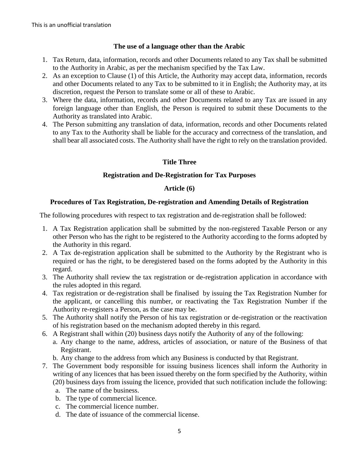## **The use of a language other than the Arabic**

- 1. Tax Return, data, information, records and other Documents related to any Tax shall be submitted to the Authority in Arabic, as per the mechanism specified by the Tax Law.
- 2. As an exception to Clause (1) of this Article, the Authority may accept data, information, records and other Documents related to any Tax to be submitted to it in English; the Authority may, at its discretion, request the Person to translate some or all of these to Arabic.
- 3. Where the data, information, records and other Documents related to any Tax are issued in any foreign language other than English, the Person is required to submit these Documents to the Authority as translated into Arabic.
- 4. The Person submitting any translation of data, information, records and other Documents related to any Tax to the Authority shall be liable for the accuracy and correctness of the translation, and shall bear all associated costs. The Authority shall have the right to rely on the translation provided.

# **Title Three**

# **Registration and De-Registration for Tax Purposes**

## **Article (6)**

# **Procedures of Tax Registration, De-registration and Amending Details of Registration**

The following procedures with respect to tax registration and de-registration shall be followed:

- 1. A Tax Registration application shall be submitted by the non-registered Taxable Person or any other Person who has the right to be registered to the Authority according to the forms adopted by the Authority in this regard.
- 2. A Tax de-registration application shall be submitted to the Authority by the Registrant who is required or has the right, to be deregistered based on the forms adopted by the Authority in this regard.
- 3. The Authority shall review the tax registration or de-registration application in accordance with the rules adopted in this regard.
- 4. Tax registration or de-registration shall be finalised by issuing the Tax Registration Number for the applicant, or cancelling this number, or reactivating the Tax Registration Number if the Authority re-registers a Person, as the case may be.
- 5. The Authority shall notify the Person of his tax registration or de-registration or the reactivation of his registration based on the mechanism adopted thereby in this regard.
- 6. A Registrant shall within (20) business days notify the Authority of any of the following:
	- a. Any change to the name, address, articles of association, or nature of the Business of that Registrant.
	- b. Any change to the address from which any Business is conducted by that Registrant.
- 7. The Government body responsible for issuing business licences shall inform the Authority in writing of any licences that has been issued thereby on the form specified by the Authority, within (20) business days from issuing the licence, provided that such notification include the following:
	- a. The name of the business.
	- b. The type of commercial licence.
	- c. The commercial licence number.
	- d. The date of issuance of the commercial license.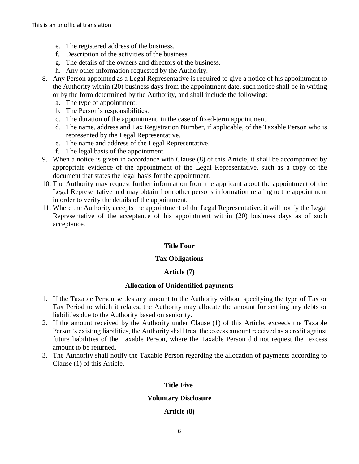- e. The registered address of the business.
- f. Description of the activities of the business.
- g. The details of the owners and directors of the business.
- h. Any other information requested by the Authority.
- 8. Any Person appointed as a Legal Representative is required to give a notice of his appointment to the Authority within (20) business days from the appointment date, such notice shall be in writing or by the form determined by the Authority, and shall include the following:
	- a. The type of appointment.
	- b. The Person's responsibilities.
	- c. The duration of the appointment, in the case of fixed-term appointment.
	- d. The name, address and Tax Registration Number, if applicable, of the Taxable Person who is represented by the Legal Representative.
	- e. The name and address of the Legal Representative.
	- f. The legal basis of the appointment.
- 9. When a notice is given in accordance with Clause (8) of this Article, it shall be accompanied by appropriate evidence of the appointment of the Legal Representative, such as a copy of the document that states the legal basis for the appointment.
- 10. The Authority may request further information from the applicant about the appointment of the Legal Representative and may obtain from other persons information relating to the appointment in order to verify the details of the appointment.
- 11. Where the Authority accepts the appointment of the Legal Representative, it will notify the Legal Representative of the acceptance of his appointment within (20) business days as of such acceptance.

## **Title Four**

#### **Tax Obligations**

## **Article (7)**

#### **Allocation of Unidentified payments**

- 1. If the Taxable Person settles any amount to the Authority without specifying the type of Tax or Tax Period to which it relates, the Authority may allocate the amount for settling any debts or liabilities due to the Authority based on seniority.
- 2. If the amount received by the Authority under Clause (1) of this Article, exceeds the Taxable Person's existing liabilities, the Authority shall treat the excess amount received as a credit against future liabilities of the Taxable Person, where the Taxable Person did not request the excess amount to be returned.
- 3. The Authority shall notify the Taxable Person regarding the allocation of payments according to Clause (1) of this Article.

#### **Title Five**

#### **Voluntary Disclosure**

#### **Article (8)**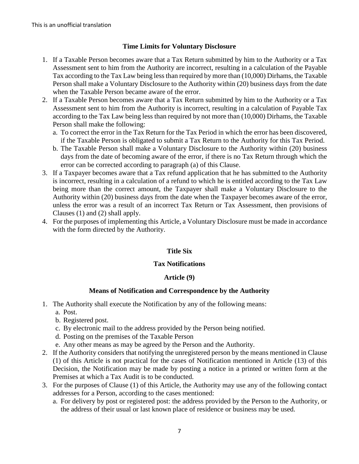## **Time Limits for Voluntary Disclosure**

- 1. If a Taxable Person becomes aware that a Tax Return submitted by him to the Authority or a Tax Assessment sent to him from the Authority are incorrect, resulting in a calculation of the Payable Tax according to the Tax Law being less than required by more than (10,000) Dirhams, the Taxable Person shall make a Voluntary Disclosure to the Authority within (20) business days from the date when the Taxable Person became aware of the error.
- 2. If a Taxable Person becomes aware that a Tax Return submitted by him to the Authority or a Tax Assessment sent to him from the Authority is incorrect, resulting in a calculation of Payable Tax according to the Tax Law being less than required by not more than (10,000) Dirhams, the Taxable Person shall make the following:
	- a. To correct the error in the Tax Return for the Tax Period in which the error has been discovered, if the Taxable Person is obligated to submit a Tax Return to the Authority for this Tax Period.
	- b. The Taxable Person shall make a Voluntary Disclosure to the Authority within (20) business days from the date of becoming aware of the error, if there is no Tax Return through which the error can be corrected according to paragraph (a) of this Clause.
- 3. If a Taxpayer becomes aware that a Tax refund application that he has submitted to the Authority is incorrect, resulting in a calculation of a refund to which he is entitled according to the Tax Law being more than the correct amount, the Taxpayer shall make a Voluntary Disclosure to the Authority within (20) business days from the date when the Taxpayer becomes aware of the error, unless the error was a result of an incorrect Tax Return or Tax Assessment, then provisions of Clauses (1) and (2) shall apply.
- 4. For the purposes of implementing this Article, a Voluntary Disclosure must be made in accordance with the form directed by the Authority.

## **Title Six**

#### **Tax Notifications**

#### **Article (9)**

## **Means of Notification and Correspondence by the Authority**

- 1. The Authority shall execute the Notification by any of the following means:
	- a. Post.
	- b. Registered post.
	- c. By electronic mail to the address provided by the Person being notified.
	- d. Posting on the premises of the Taxable Person
	- e. Any other means as may be agreed by the Person and the Authority.
- 2. If the Authority considers that notifying the unregistered person by the means mentioned in Clause (1) of this Article is not practical for the cases of Notification mentioned in Article (13) of this Decision, the Notification may be made by posting a notice in a printed or written form at the Premises at which a Tax Audit is to be conducted.
- 3. For the purposes of Clause (1) of this Article, the Authority may use any of the following contact addresses for a Person, according to the cases mentioned:
	- a. For delivery by post or registered post: the address provided by the Person to the Authority, or the address of their usual or last known place of residence or business may be used.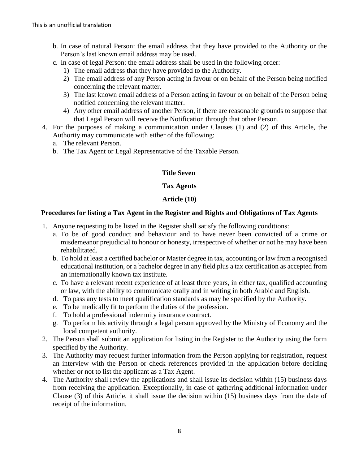- b. In case of natural Person: the email address that they have provided to the Authority or the Person's last known email address may be used.
- c. In case of legal Person: the email address shall be used in the following order:
	- 1) The email address that they have provided to the Authority.
	- 2) The email address of any Person acting in favour or on behalf of the Person being notified concerning the relevant matter.
	- 3) The last known email address of a Person acting in favour or on behalf of the Person being notified concerning the relevant matter.
	- 4) Any other email address of another Person, if there are reasonable grounds to suppose that that Legal Person will receive the Notification through that other Person.
- 4. For the purposes of making a communication under Clauses (1) and (2) of this Article, the Authority may communicate with either of the following:
	- a. The relevant Person.
	- b. The Tax Agent or Legal Representative of the Taxable Person.

#### **Title Seven**

#### **Tax Agents**

#### **Article (10)**

#### **Procedures for listing a Tax Agent in the Register and Rights and Obligations of Tax Agents**

- 1. Anyone requesting to be listed in the Register shall satisfy the following conditions:
	- a. To be of good conduct and behaviour and to have never been convicted of a crime or misdemeanor prejudicial to honour or honesty, irrespective of whether or not he may have been rehabilitated.
	- b. To hold at least a certified bachelor or Master degree in tax, accounting or law from a recognised educational institution, or a bachelor degree in any field plus a tax certification as accepted from an internationally known tax institute.
	- c. To have a relevant recent experience of at least three years, in either tax, qualified accounting or law, with the ability to communicate orally and in writing in both Arabic and English.
	- d. To pass any tests to meet qualification standards as may be specified by the Authority.
	- e. To be medically fit to perform the duties of the profession.
	- f. To hold a professional indemnity insurance contract.
	- g. To perform his activity through a legal person approved by the Ministry of Economy and the local competent authority.
- 2. The Person shall submit an application for listing in the Register to the Authority using the form specified by the Authority.
- 3. The Authority may request further information from the Person applying for registration, request an interview with the Person or check references provided in the application before deciding whether or not to list the applicant as a Tax Agent.
- 4. The Authority shall review the applications and shall issue its decision within (15) business days from receiving the application. Exceptionally, in case of gathering additional information under Clause (3) of this Article, it shall issue the decision within (15) business days from the date of receipt of the information.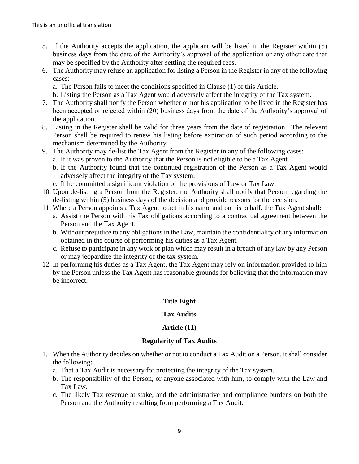- 5. If the Authority accepts the application, the applicant will be listed in the Register within (5) business days from the date of the Authority's approval of the application or any other date that may be specified by the Authority after settling the required fees.
- 6. The Authority may refuse an application for listing a Person in the Register in any of the following cases:
	- a. The Person fails to meet the conditions specified in Clause (1) of this Article.
	- b. Listing the Person as a Tax Agent would adversely affect the integrity of the Tax system.
- 7. The Authority shall notify the Person whether or not his application to be listed in the Register has been accepted or rejected within (20) business days from the date of the Authority's approval of the application.
- 8. Listing in the Register shall be valid for three years from the date of registration. The relevant Person shall be required to renew his listing before expiration of such period according to the mechanism determined by the Authority.
- 9. The Authority may de-list the Tax Agent from the Register in any of the following cases:
	- a. If it was proven to the Authority that the Person is not eligible to be a Tax Agent.
	- b. If the Authority found that the continued registration of the Person as a Tax Agent would adversely affect the integrity of the Tax system.
	- c. If he committed a significant violation of the provisions of Law or Tax Law.
- 10. Upon de-listing a Person from the Register, the Authority shall notify that Person regarding the de-listing within (5) business days of the decision and provide reasons for the decision.
- 11. Where a Person appoints a Tax Agent to act in his name and on his behalf, the Tax Agent shall:
	- a. Assist the Person with his Tax obligations according to a contractual agreement between the Person and the Tax Agent.
	- b. Without prejudice to any obligations in the Law, maintain the confidentiality of any information obtained in the course of performing his duties as a Tax Agent.
	- c. Refuse to participate in any work or plan which may result in a breach of any law by any Person or may jeopardize the integrity of the tax system.
- 12. In performing his duties as a Tax Agent, the Tax Agent may rely on information provided to him by the Person unless the Tax Agent has reasonable grounds for believing that the information may be incorrect.

# **Title Eight**

## **Tax Audits**

## **Article (11)**

## **Regularity of Tax Audits**

- 1. When the Authority decides on whether or not to conduct a Tax Audit on a Person, it shall consider the following:
	- a. That a Tax Audit is necessary for protecting the integrity of the Tax system.
	- b. The responsibility of the Person, or anyone associated with him, to comply with the Law and Tax Law.
	- c. The likely Tax revenue at stake, and the administrative and compliance burdens on both the Person and the Authority resulting from performing a Tax Audit.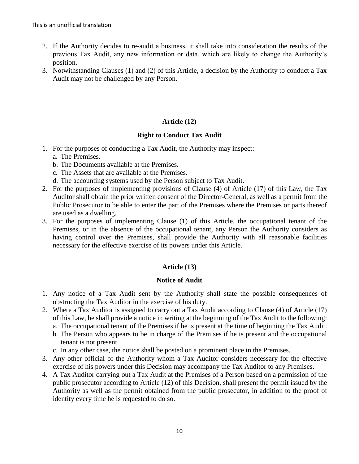- 2. If the Authority decides to re-audit a business, it shall take into consideration the results of the previous Tax Audit, any new information or data, which are likely to change the Authority's position.
- 3. Notwithstanding Clauses (1) and (2) of this Article, a decision by the Authority to conduct a Tax Audit may not be challenged by any Person.

# **Article (12)**

# **Right to Conduct Tax Audit**

- 1. For the purposes of conducting a Tax Audit, the Authority may inspect:
	- a. The Premises.
	- b. The Documents available at the Premises.
	- c. The Assets that are available at the Premises.
	- d. The accounting systems used by the Person subject to Tax Audit.
- 2. For the purposes of implementing provisions of Clause (4) of Article (17) of this Law, the Tax Auditor shall obtain the prior written consent of the Director-General, as well as a permit from the Public Prosecutor to be able to enter the part of the Premises where the Premises or parts thereof are used as a dwelling.
- 3. For the purposes of implementing Clause (1) of this Article, the occupational tenant of the Premises, or in the absence of the occupational tenant, any Person the Authority considers as having control over the Premises, shall provide the Authority with all reasonable facilities necessary for the effective exercise of its powers under this Article.

## **Article (13)**

## **Notice of Audit**

- 1. Any notice of a Tax Audit sent by the Authority shall state the possible consequences of obstructing the Tax Auditor in the exercise of his duty.
- 2. Where a Tax Auditor is assigned to carry out a Tax Audit according to Clause (4) of Article (17) of this Law, he shall provide a notice in writing at the beginning of the Tax Audit to the following:
	- a. The occupational tenant of the Premises if he is present at the time of beginning the Tax Audit.
	- b. The Person who appears to be in charge of the Premises if he is present and the occupational tenant is not present.
	- c. In any other case, the notice shall be posted on a prominent place in the Premises.
- 3. Any other official of the Authority whom a Tax Auditor considers necessary for the effective exercise of his powers under this Decision may accompany the Tax Auditor to any Premises.
- 4. A Tax Auditor carrying out a Tax Audit at the Premises of a Person based on a permission of the public prosecutor according to Article (12) of this Decision, shall present the permit issued by the Authority as well as the permit obtained from the public prosecutor, in addition to the proof of identity every time he is requested to do so.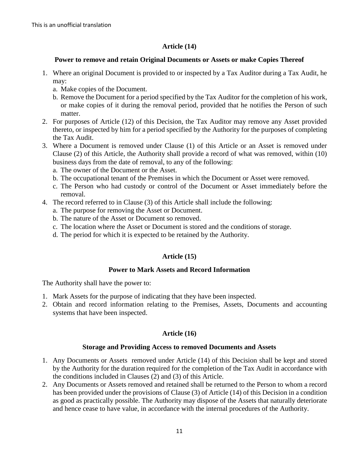# **Article (14)**

## **Power to remove and retain Original Documents or Assets or make Copies Thereof**

- 1. Where an original Document is provided to or inspected by a Tax Auditor during a Tax Audit, he may:
	- a. Make copies of the Document.
	- b. Remove the Document for a period specified by the Tax Auditor for the completion of his work, or make copies of it during the removal period, provided that he notifies the Person of such matter.
- 2. For purposes of Article (12) of this Decision, the Tax Auditor may remove any Asset provided thereto, or inspected by him for a period specified by the Authority for the purposes of completing the Tax Audit.
- 3. Where a Document is removed under Clause (1) of this Article or an Asset is removed under Clause (2) of this Article, the Authority shall provide a record of what was removed, within (10) business days from the date of removal, to any of the following:
	- a. The owner of the Document or the Asset.
	- b. The occupational tenant of the Premises in which the Document or Asset were removed.
	- c. The Person who had custody or control of the Document or Asset immediately before the removal.
- 4. The record referred to in Clause (3) of this Article shall include the following:
	- a. The purpose for removing the Asset or Document.
	- b. The nature of the Asset or Document so removed.
	- c. The location where the Asset or Document is stored and the conditions of storage.
	- d. The period for which it is expected to be retained by the Authority.

## **Article (15)**

#### **Power to Mark Assets and Record Information**

The Authority shall have the power to:

- 1. Mark Assets for the purpose of indicating that they have been inspected.
- 2. Obtain and record information relating to the Premises, Assets, Documents and accounting systems that have been inspected.

## **Article (16)**

## **Storage and Providing Access to removed Documents and Assets**

- 1. Any Documents or Assets removed under Article (14) of this Decision shall be kept and stored by the Authority for the duration required for the completion of the Tax Audit in accordance with the conditions included in Clauses (2) and (3) of this Article.
- 2. Any Documents or Assets removed and retained shall be returned to the Person to whom a record has been provided under the provisions of Clause (3) of Article (14) of this Decision in a condition as good as practically possible. The Authority may dispose of the Assets that naturally deteriorate and hence cease to have value, in accordance with the internal procedures of the Authority.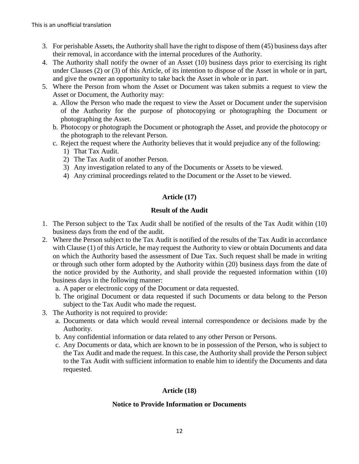- 3. For perishable Assets, the Authority shall have the right to dispose of them (45) business days after their removal, in accordance with the internal procedures of the Authority.
- 4. The Authority shall notify the owner of an Asset (10) business days prior to exercising its right under Clauses (2) or (3) of this Article, of its intention to dispose of the Asset in whole or in part, and give the owner an opportunity to take back the Asset in whole or in part.
- 5. Where the Person from whom the Asset or Document was taken submits a request to view the Asset or Document, the Authority may:
	- a. Allow the Person who made the request to view the Asset or Document under the supervision of the Authority for the purpose of photocopying or photographing the Document or photographing the Asset.
	- b. Photocopy or photograph the Document or photograph the Asset, and provide the photocopy or the photograph to the relevant Person.
	- c. Reject the request where the Authority believes that it would prejudice any of the following:
		- 1) That Tax Audit.
		- 2) The Tax Audit of another Person.
		- 3) Any investigation related to any of the Documents or Assets to be viewed.
		- 4) Any criminal proceedings related to the Document or the Asset to be viewed.

# **Article (17)**

# **Result of the Audit**

- 1. The Person subject to the Tax Audit shall be notified of the results of the Tax Audit within (10) business days from the end of the audit.
- 2. Where the Person subject to the Tax Audit is notified of the results of the Tax Audit in accordance with Clause (1) of this Article, he may request the Authority to view or obtain Documents and data on which the Authority based the assessment of Due Tax. Such request shall be made in writing or through such other form adopted by the Authority within (20) business days from the date of the notice provided by the Authority, and shall provide the requested information within (10) business days in the following manner:
	- a. A paper or electronic copy of the Document or data requested.
	- b. The original Document or data requested if such Documents or data belong to the Person subject to the Tax Audit who made the request.
- 3. The Authority is not required to provide:
	- a. Documents or data which would reveal internal correspondence or decisions made by the Authority.
	- b. Any confidential information or data related to any other Person or Persons.
	- c. Any Documents or data, which are known to be in possession of the Person, who is subject to the Tax Audit and made the request. In this case, the Authority shall provide the Person subject to the Tax Audit with sufficient information to enable him to identify the Documents and data requested.

# **Article (18)**

# **Notice to Provide Information or Documents**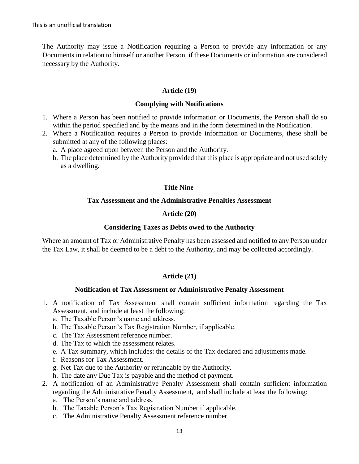The Authority may issue a Notification requiring a Person to provide any information or any Documents in relation to himself or another Person, if these Documents or information are considered necessary by the Authority.

## **Article (19)**

#### **Complying with Notifications**

- 1. Where a Person has been notified to provide information or Documents, the Person shall do so within the period specified and by the means and in the form determined in the Notification.
- 2. Where a Notification requires a Person to provide information or Documents, these shall be submitted at any of the following places:
	- a. A place agreed upon between the Person and the Authority.
	- b. The place determined by the Authority provided that this place is appropriate and not used solely as a dwelling.

#### **Title Nine**

#### **Tax Assessment and the Administrative Penalties Assessment**

## **Article (20)**

#### **Considering Taxes as Debts owed to the Authority**

Where an amount of Tax or Administrative Penalty has been assessed and notified to any Person under the Tax Law, it shall be deemed to be a debt to the Authority, and may be collected accordingly.

## **Article (21)**

#### **Notification of Tax Assessment or Administrative Penalty Assessment**

- 1. A notification of Tax Assessment shall contain sufficient information regarding the Tax Assessment, and include at least the following:
	- a. The Taxable Person's name and address.
	- b. The Taxable Person's Tax Registration Number, if applicable.
	- c. The Tax Assessment reference number.
	- d. The Tax to which the assessment relates.
	- e. A Tax summary, which includes: the details of the Tax declared and adjustments made.
	- f. Reasons for Tax Assessment.
	- g. Net Tax due to the Authority or refundable by the Authority.
	- h. The date any Due Tax is payable and the method of payment.
- 2. A notification of an Administrative Penalty Assessment shall contain sufficient information regarding the Administrative Penalty Assessment, and shall include at least the following:
	- a. The Person's name and address.
	- b. The Taxable Person's Tax Registration Number if applicable.
	- c. The Administrative Penalty Assessment reference number.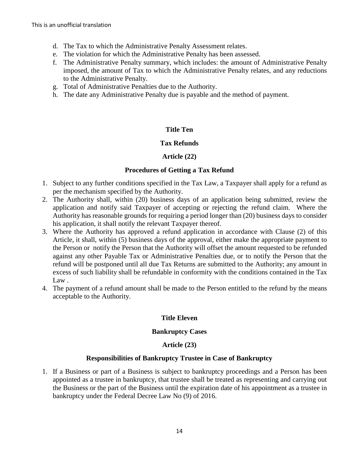- d. The Tax to which the Administrative Penalty Assessment relates.
- e. The violation for which the Administrative Penalty has been assessed.
- f. The Administrative Penalty summary, which includes: the amount of Administrative Penalty imposed, the amount of Tax to which the Administrative Penalty relates, and any reductions to the Administrative Penalty.
- g. Total of Administrative Penalties due to the Authority.
- h. The date any Administrative Penalty due is payable and the method of payment.

## **Title Ten**

#### **Tax Refunds**

## **Article (22)**

#### **Procedures of Getting a Tax Refund**

- 1. Subject to any further conditions specified in the Tax Law, a Taxpayer shall apply for a refund as per the mechanism specified by the Authority.
- 2. The Authority shall, within (20) business days of an application being submitted, review the application and notify said Taxpayer of accepting or rejecting the refund claim. Where the Authority has reasonable grounds for requiring a period longer than (20) business days to consider his application, it shall notify the relevant Taxpayer thereof.
- 3. Where the Authority has approved a refund application in accordance with Clause (2) of this Article, it shall, within (5) business days of the approval, either make the appropriate payment to the Person or notify the Person that the Authority will offset the amount requested to be refunded against any other Payable Tax or Administrative Penalties due, or to notify the Person that the refund will be postponed until all due Tax Returns are submitted to the Authority; any amount in excess of such liability shall be refundable in conformity with the conditions contained in the Tax Law .
- 4. The payment of a refund amount shall be made to the Person entitled to the refund by the means acceptable to the Authority.

## **Title Eleven**

## **Bankruptcy Cases**

## **Article (23)**

#### **Responsibilities of Bankruptcy Trustee in Case of Bankruptcy**

1. If a Business or part of a Business is subject to bankruptcy proceedings and a Person has been appointed as a trustee in bankruptcy, that trustee shall be treated as representing and carrying out the Business or the part of the Business until the expiration date of his appointment as a trustee in bankruptcy under the Federal Decree Law No (9) of 2016.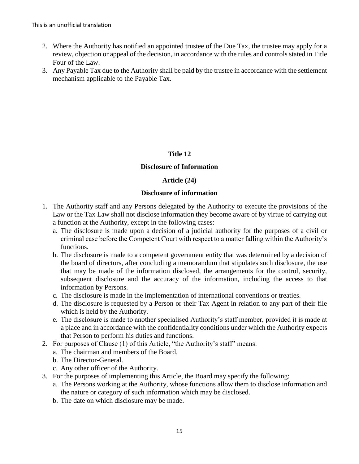- 2. Where the Authority has notified an appointed trustee of the Due Tax, the trustee may apply for a review, objection or appeal of the decision, in accordance with the rules and controls stated in Title Four of the Law.
- 3. Any Payable Tax due to the Authority shall be paid by the trustee in accordance with the settlement mechanism applicable to the Payable Tax.

## **Title 12**

#### **Disclosure of Information**

#### **Article (24)**

#### **Disclosure of information**

- 1. The Authority staff and any Persons delegated by the Authority to execute the provisions of the Law or the Tax Law shall not disclose information they become aware of by virtue of carrying out a function at the Authority, except in the following cases:
	- a. The disclosure is made upon a decision of a judicial authority for the purposes of a civil or criminal case before the Competent Court with respect to a matter falling within the Authority's functions.
	- b. The disclosure is made to a competent government entity that was determined by a decision of the board of directors, after concluding a memorandum that stipulates such disclosure, the use that may be made of the information disclosed, the arrangements for the control, security, subsequent disclosure and the accuracy of the information, including the access to that information by Persons.
	- c. The disclosure is made in the implementation of international conventions or treaties.
	- d. The disclosure is requested by a Person or their Tax Agent in relation to any part of their file which is held by the Authority.
	- e. The disclosure is made to another specialised Authority's staff member, provided it is made at a place and in accordance with the confidentiality conditions under which the Authority expects that Person to perform his duties and functions.
- 2. For purposes of Clause (1) of this Article, "the Authority's staff" means:
	- a. The chairman and members of the Board.
	- b. The Director-General.
	- c. Any other officer of the Authority.
- 3. For the purposes of implementing this Article, the Board may specify the following:
	- a. The Persons working at the Authority, whose functions allow them to disclose information and the nature or category of such information which may be disclosed.
	- b. The date on which disclosure may be made.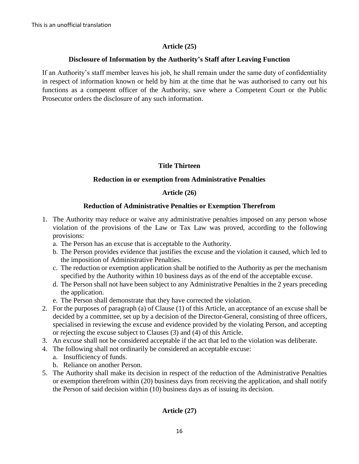# **Article (25)**

## **Disclosure of Information by the Authority's Staff after Leaving Function**

If an Authority's staff member leaves his job, he shall remain under the same duty of confidentiality in respect of information known or held by him at the time that he was authorised to carry out his functions as a competent officer of the Authority, save where a Competent Court or the Public Prosecutor orders the disclosure of any such information.

# **Title Thirteen**

# **Reduction in or exemption from Administrative Penalties**

# **Article (26)**

# **Reduction of Administrative Penalties or Exemption Therefrom**

- 1. The Authority may reduce or waive any administrative penalties imposed on any person whose violation of the provisions of the Law or Tax Law was proved, according to the following provisions:
	- a. The Person has an excuse that is acceptable to the Authority.
	- b. The Person provides evidence that justifies the excuse and the violation it caused, which led to the imposition of Administrative Penalties.
	- c. The reduction or exemption application shall be notified to the Authority as per the mechanism specified by the Authority within 10 business days as of the end of the acceptable excuse.
	- d. The Person shall not have been subject to any Administrative Penalties in the 2 years preceding the application.
	- e. The Person shall demonstrate that they have corrected the violation.
- 2. For the purposes of paragraph (a) of Clause (1) of this Article, an acceptance of an excuse shall be decided by a committee, set up by a decision of the Director-General, consisting of three officers, specialised in reviewing the excuse and evidence provided by the violating Person, and accepting or rejecting the excuse subject to Clauses (3) and (4) of this Article.
- 3. An excuse shall not be considered acceptable if the act that led to the violation was deliberate.
- 4. The following shall not ordinarily be considered an acceptable excuse:
	- a. Insufficiency of funds.
	- b. Reliance on another Person.
- 5. The Authority shall make its decision in respect of the reduction of the Administrative Penalties or exemption therefrom within (20) business days from receiving the application, and shall notify the Person of said decision within (10) business days as of issuing its decision.

# **Article (27)**